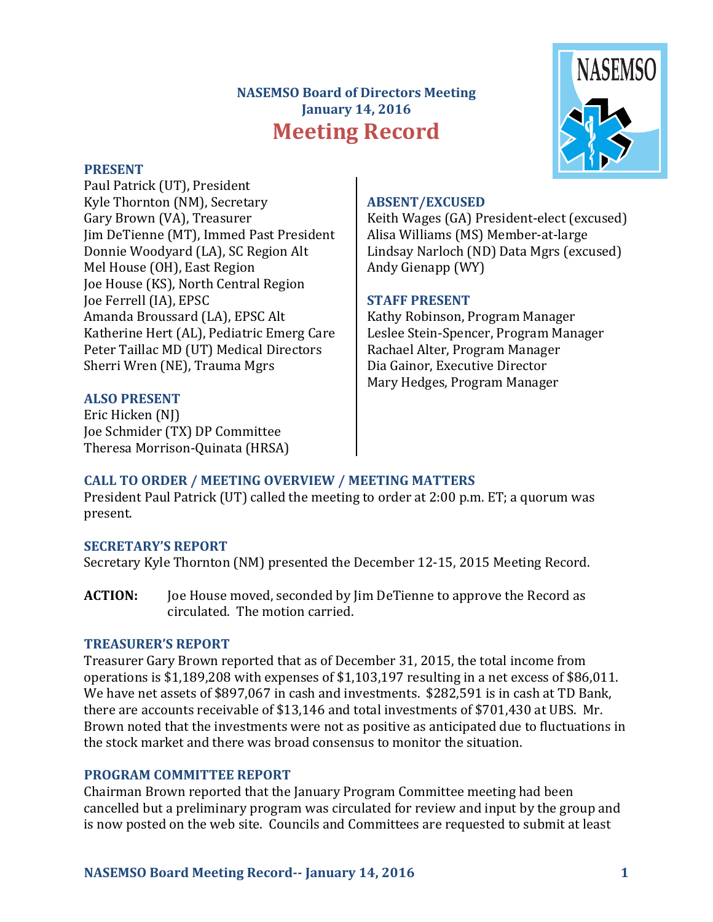# **NASEMSO Board of Directors Meeting January 14, 2016 Meeting Record**

#### **PRESENT**

Paul Patrick (UT), President Kyle Thornton (NM), Secretary Gary Brown (VA), Treasurer Jim DeTienne (MT), Immed Past President Donnie Woodyard (LA), SC Region Alt Mel House (OH), East Region Joe House (KS), North Central Region Joe Ferrell (IA), EPSC Amanda Broussard (LA), EPSC Alt Katherine Hert (AL), Pediatric Emerg Care Peter Taillac MD (UT) Medical Directors Sherri Wren (NE), Trauma Mgrs

### **ALSO PRESENT**

Eric Hicken (NI) Joe Schmider (TX) DP Committee Theresa Morrison-Quinata (HRSA)

#### **ABSENT/EXCUSED**

Keith Wages (GA) President-elect (excused) Alisa Williams (MS) Member-at-large Lindsay Narloch (ND) Data Mgrs (excused) Andy Gienapp (WY)

### **STAFF PRESENT**

Kathy Robinson, Program Manager Leslee Stein-Spencer, Program Manager Rachael Alter, Program Manager Dia Gainor, Executive Director Mary Hedges, Program Manager

# **CALL TO ORDER / MEETING OVERVIEW / MEETING MATTERS**

President Paul Patrick (UT) called the meeting to order at 2:00 p.m. ET; a quorum was present. 

### **SECRETARY'S REPORT**

Secretary Kyle Thornton (NM) presented the December 12-15, 2015 Meeting Record.

**ACTION:** Joe House moved, seconded by Jim DeTienne to approve the Record as circulated. The motion carried.

### **TREASURER'S REPORT**

Treasurer Gary Brown reported that as of December 31, 2015, the total income from operations is  $$1,189,208$  with expenses of  $$1,103,197$  resulting in a net excess of  $$86,011$ . We have net assets of \$897,067 in cash and investments. \$282,591 is in cash at TD Bank, there are accounts receivable of \$13,146 and total investments of \$701,430 at UBS. Mr. Brown noted that the investments were not as positive as anticipated due to fluctuations in the stock market and there was broad consensus to monitor the situation.

### **PROGRAM COMMITTEE REPORT**

Chairman Brown reported that the January Program Committee meeting had been cancelled but a preliminary program was circulated for review and input by the group and is now posted on the web site. Councils and Committees are requested to submit at least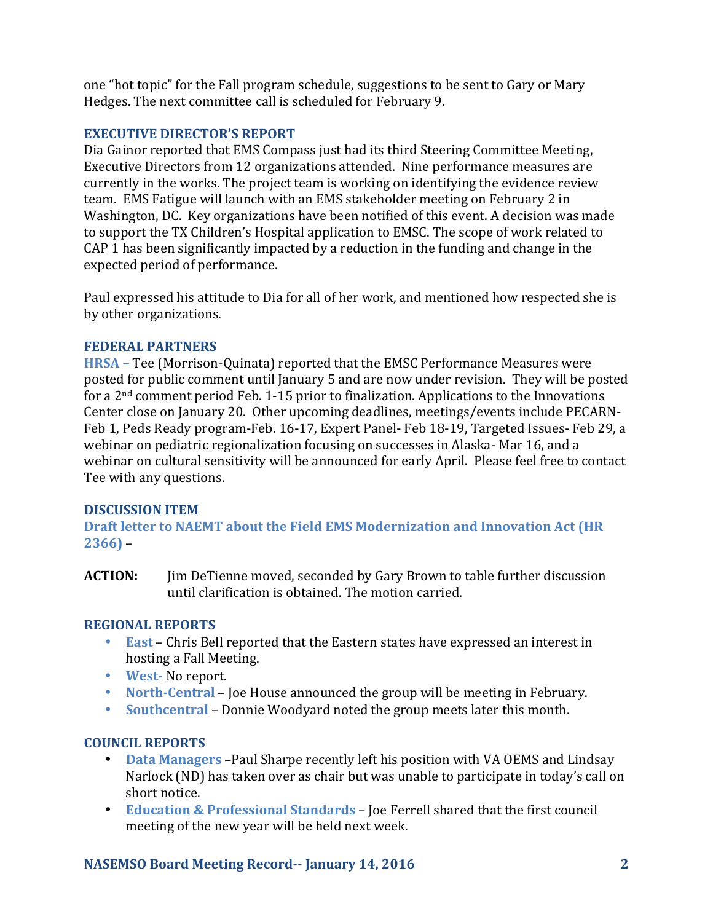one "hot topic" for the Fall program schedule, suggestions to be sent to Gary or Mary Hedges. The next committee call is scheduled for February 9.

## **EXECUTIVE DIRECTOR'S REPORT**

Dia Gainor reported that EMS Compass just had its third Steering Committee Meeting, Executive Directors from 12 organizations attended. Nine performance measures are currently in the works. The project team is working on identifying the evidence review team. EMS Fatigue will launch with an EMS stakeholder meeting on February 2 in Washington, DC. Key organizations have been notified of this event. A decision was made to support the TX Children's Hospital application to EMSC. The scope of work related to CAP 1 has been significantly impacted by a reduction in the funding and change in the expected period of performance.

Paul expressed his attitude to Dia for all of her work, and mentioned how respected she is by other organizations.

## **FEDERAL PARTNERS**

**HRSA** – Tee (Morrison-Quinata) reported that the EMSC Performance Measures were posted for public comment until January 5 and are now under revision. They will be posted for a  $2<sup>nd</sup>$  comment period Feb. 1-15 prior to finalization. Applications to the Innovations Center close on January 20. Other upcoming deadlines, meetings/events include PECARN-Feb 1, Peds Ready program-Feb. 16-17, Expert Panel- Feb 18-19, Targeted Issues- Feb 29, a webinar on pediatric regionalization focusing on successes in Alaska- Mar 16, and a webinar on cultural sensitivity will be announced for early April. Please feel free to contact Tee with any questions.

## **DISCUSSION ITEM**

**Draft letter to NAEMT about the Field EMS Modernization and Innovation Act (HR**  $2366$ ) –

**ACTION:** Jim DeTienne moved, seconded by Gary Brown to table further discussion until clarification is obtained. The motion carried.

## **REGIONAL REPORTS**

- **East** Chris Bell reported that the Eastern states have expressed an interest in hosting a Fall Meeting.
- **West-** No report.
- **North-Central** Joe House announced the group will be meeting in February.
- Southcentral Donnie Woodyard noted the group meets later this month.

## **COUNCIL REPORTS**

- **Data Managers** Paul Sharpe recently left his position with VA OEMS and Lindsay Narlock (ND) has taken over as chair but was unable to participate in today's call on short notice.
- **Education & Professional Standards** Joe Ferrell shared that the first council meeting of the new year will be held next week.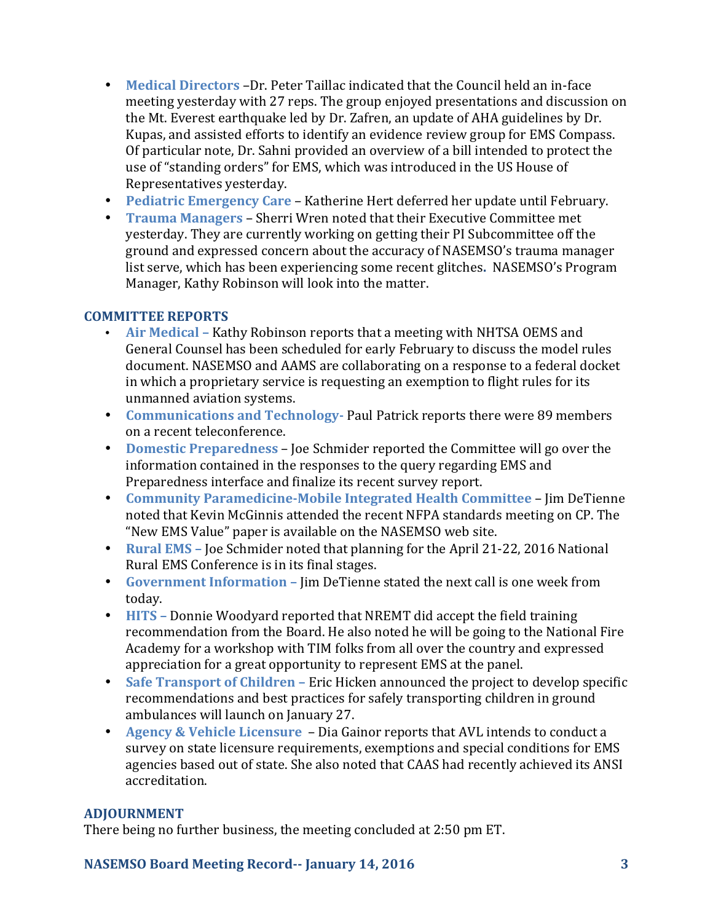- Medical Directors –Dr. Peter Taillac indicated that the Council held an in-face meeting yesterday with 27 reps. The group enjoyed presentations and discussion on the Mt. Everest earthquake led by Dr. Zafren, an update of AHA guidelines by Dr. Kupas, and assisted efforts to identify an evidence review group for EMS Compass. Of particular note, Dr. Sahni provided an overview of a bill intended to protect the use of "standing orders" for EMS, which was introduced in the US House of Representatives vesterday.
- **Pediatric Emergency Care** Katherine Hert deferred her update until February.
- **Trauma Managers** Sherri Wren noted that their Executive Committee met yesterday. They are currently working on getting their PI Subcommittee off the ground and expressed concern about the accuracy of NASEMSO's trauma manager list serve, which has been experiencing some recent glitches. NASEMSO's Program Manager, Kathy Robinson will look into the matter.

# **COMMITTEE REPORTS**

- Air Medical Kathy Robinson reports that a meeting with NHTSA OEMS and General Counsel has been scheduled for early February to discuss the model rules document. NASEMSO and AAMS are collaborating on a response to a federal docket in which a proprietary service is requesting an exemption to flight rules for its unmanned aviation systems.
- Communications and Technology- Paul Patrick reports there were 89 members on a recent teleconference.
- **Domestic Preparedness** Joe Schmider reported the Committee will go over the information contained in the responses to the query regarding EMS and Preparedness interface and finalize its recent survey report.
- **Community Paramedicine-Mobile Integrated Health Committee Jim DeTienne** noted that Kevin McGinnis attended the recent NFPA standards meeting on CP. The "New EMS Value" paper is available on the NASEMSO web site.
- **Rural EMS** Joe Schmider noted that planning for the April 21-22, 2016 National Rural EMS Conference is in its final stages.
- Government Information Jim DeTienne stated the next call is one week from today.
- **HITS** Donnie Woodyard reported that NREMT did accept the field training recommendation from the Board. He also noted he will be going to the National Fire Academy for a workshop with TIM folks from all over the country and expressed appreciation for a great opportunity to represent EMS at the panel.
- Safe Transport of Children Eric Hicken announced the project to develop specific recommendations and best practices for safely transporting children in ground ambulances will launch on January 27.
- **Agency & Vehicle Licensure** Dia Gainor reports that AVL intends to conduct a survey on state licensure requirements, exemptions and special conditions for EMS agencies based out of state. She also noted that CAAS had recently achieved its ANSI accreditation.

## **ADJOURNMENT**

There being no further business, the meeting concluded at 2:50 pm ET.